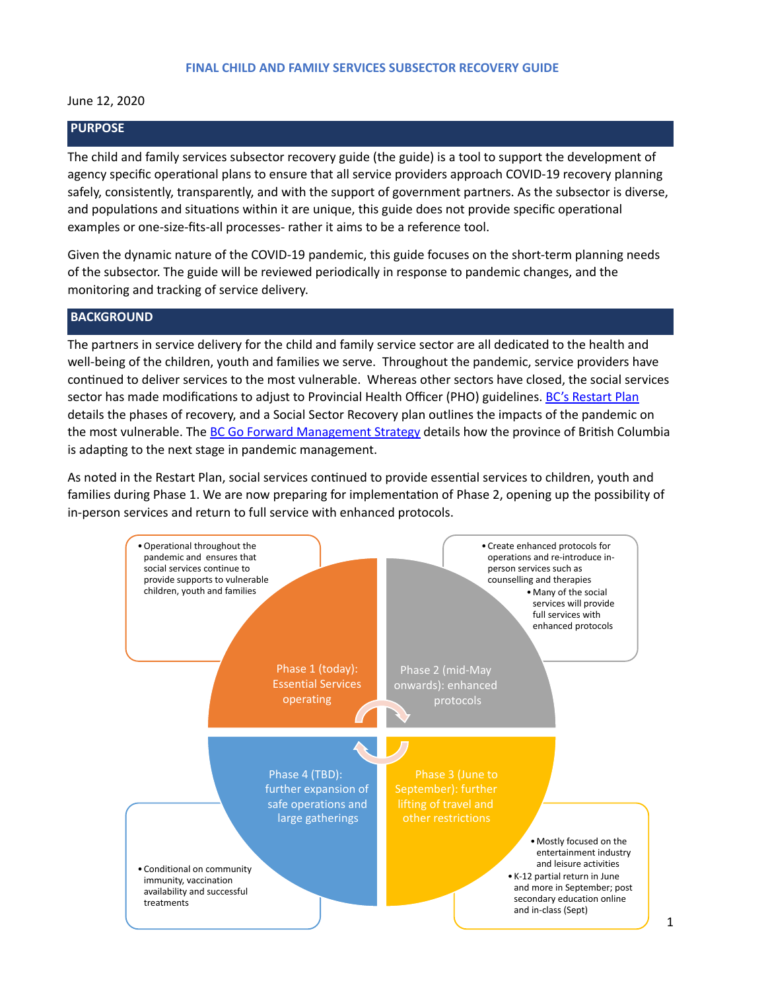#### June 12, 2020

### **PURPOSE**

The child and family services subsector recovery guide (the guide) is a tool to support the development of agency specific operational plans to ensure that all service providers approach COVID-19 recovery planning safely, consistently, transparently, and with the support of government partners. As the subsector is diverse, and populations and situations within it are unique, this guide does not provide specific operational examples or one-size-fits-all processes- rather it aims to be a reference tool.

Given the dynamic nature of the COVID-19 pandemic, this guide focuses on the short-term planning needs of the subsector. The guide will be reviewed periodically in response to pandemic changes, and the monitoring and tracking of service delivery.

### **BACKGROUND**

The partners in service delivery for the child and family service sector are all dedicated to the health and well-being of the children, youth and families we serve. Throughout the pandemic, service providers have continued to deliver services to the most vulnerable. Whereas other sectors have closed, the social services sector has made modifications to adjust to Provincial Health Officer (PHO) guidelines. BC's Restart Plan details the phases of recovery, and a Social Sector Recovery plan outlines the impacts of the pandemic on the most vulnerable. The BC Go Forward Management Strategy details how the province of British Columbia is adapting to the next stage in pandemic management.

As noted in the Restart Plan, social services continued to provide essential services to children, youth and families during Phase 1. We are now preparing for implementation of Phase 2, opening up the possibility of in-person services and return to full service with enhanced protocols.

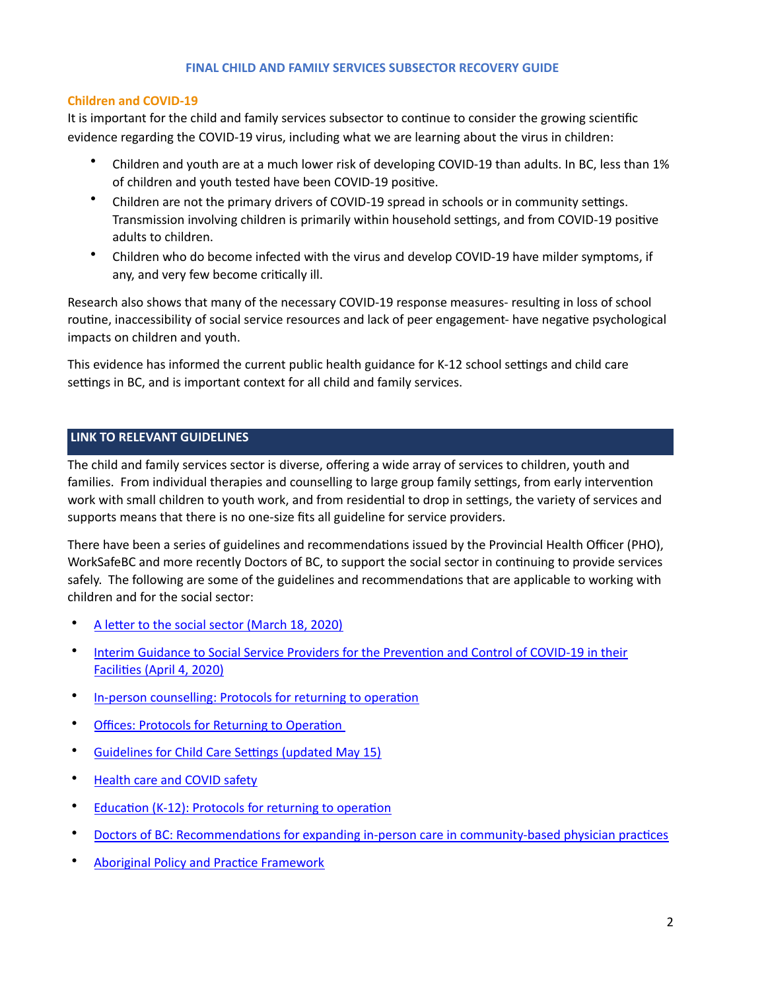## **Children and COVID-19**

It is important for the child and family services subsector to continue to consider the growing scientific evidence regarding the COVID-19 virus, including what we are learning about the virus in children:

- Children and youth are at a much lower risk of developing COVID-19 than adults. In BC, less than 1% of children and youth tested have been COVID-19 positive.
- Children are not the primary drivers of COVID-19 spread in schools or in community settings. Transmission involving children is primarily within household settings, and from COVID-19 positive adults to children.
- Children who do become infected with the virus and develop COVID-19 have milder symptoms, if any, and very few become critically ill.

Research also shows that many of the necessary COVID-19 response measures- resulting in loss of school routine, inaccessibility of social service resources and lack of peer engagement- have negative psychological impacts on children and youth.

This evidence has informed the current public health guidance for K-12 school settings and child care settings in BC, and is important context for all child and family services.

# **LINK TO RELEVANT GUIDELINES**

The child and family services sector is diverse, offering a wide array of services to children, youth and families. From individual therapies and counselling to large group family settings, from early intervention work with small children to youth work, and from residential to drop in settings, the variety of services and supports means that there is no one-size fits all guideline for service providers.

There have been a series of guidelines and recommendations issued by the Provincial Health Officer (PHO), WorkSafeBC and more recently Doctors of BC, to support the social sector in continuing to provide services safely. The following are some of the guidelines and recommendations that are applicable to working with children and for the social sector:

- A letter to the social sector (March 18, 2020)
- Interim Guidance to Social Service Providers for the Prevention and Control of COVID-19 in their Facilities (April 4, 2020)
- In-person counselling: Protocols for returning to operation
- Offices: Protocols for Returning to Operation
- Guidelines for Child Care Settings (updated May 15)
- Health care and COVID safety
- Education (K-12): Protocols for returning to operation
- Doctors of BC: Recommendations for expanding in-person care in community-based physician practices
- Aboriginal Policy and Practice Framework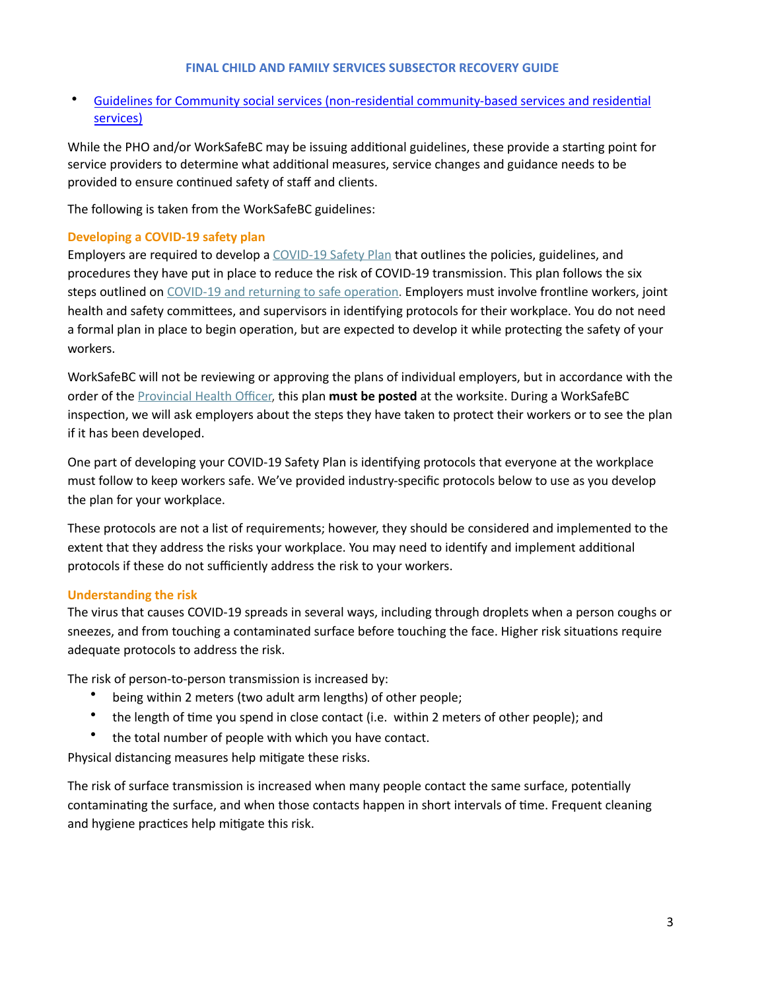Guidelines for Community social services (non-residential community-based services and residential [services\)](https://www.worksafebc.com/en/about-us/covid-19-updates/covid-19-returning-safe-operation)

While the PHO and/or WorkSafeBC may be issuing additional guidelines, these provide a starting point for service providers to determine what additional measures, service changes and guidance needs to be provided to ensure continued safety of staff and clients.

The following is taken from the WorkSafeBC guidelines:

## **Developing a COVID-19 safety plan**

Employers are required to develop a COVID-19 Safety Plan that outlines the policies, guidelines, and procedures they have put in place to reduce the risk of COVID-19 transmission. This plan follows the six steps outlined on COVID-19 and returning to safe operation. Employers must involve frontline workers, joint health and safety committees, and supervisors in identifying protocols for their workplace. You do not need a formal plan in place to begin operation, but are expected to develop it while protecting the safety of your workers. 

WorkSafeBC will not be reviewing or approving the plans of individual employers, but in accordance with the order of the **Provincial Health Officer**, this plan must be posted at the worksite. During a WorkSafeBC inspection, we will ask employers about the steps they have taken to protect their workers or to see the plan if it has been developed.

One part of developing your COVID-19 Safety Plan is identifying protocols that everyone at the workplace must follow to keep workers safe. We've provided industry-specific protocols below to use as you develop the plan for your workplace.

These protocols are not a list of requirements; however, they should be considered and implemented to the extent that they address the risks your workplace. You may need to identify and implement additional protocols if these do not sufficiently address the risk to your workers.

## **Understanding the risk**

The virus that causes COVID-19 spreads in several ways, including through droplets when a person coughs or sneezes, and from touching a contaminated surface before touching the face. Higher risk situations require adequate protocols to address the risk.

The risk of person-to-person transmission is increased by:

- being within 2 meters (two adult arm lengths) of other people;
- the length of time you spend in close contact (i.e. within 2 meters of other people); and
- the total number of people with which you have contact.

Physical distancing measures help mitigate these risks.

The risk of surface transmission is increased when many people contact the same surface, potentially contaminating the surface, and when those contacts happen in short intervals of time. Frequent cleaning and hygiene practices help mitigate this risk.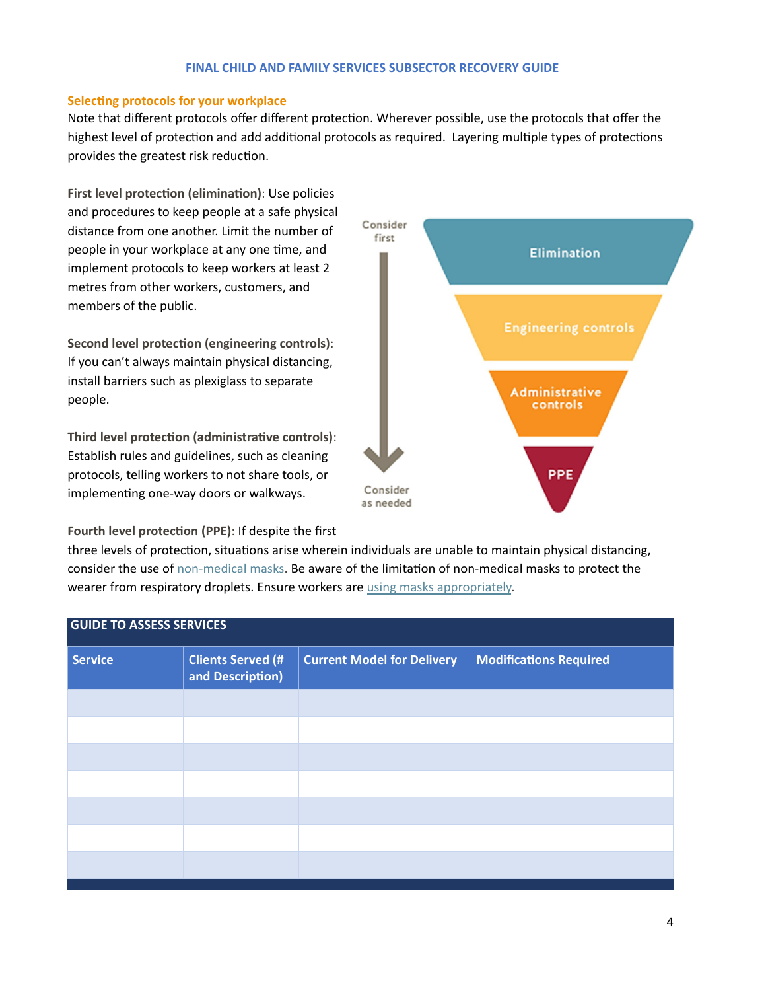### **Selecting protocols for your workplace**

Note that different protocols offer different protection. Wherever possible, use the protocols that offer the highest level of protection and add additional protocols as required. Layering multiple types of protections provides the greatest risk reduction.

**First level protection (elimination):** Use policies and procedures to keep people at a safe physical distance from one another. Limit the number of people in your workplace at any one time, and implement protocols to keep workers at least 2 metres from other workers, customers, and members of the public.

**Second level protection (engineering controls):** If you can't always maintain physical distancing, install barriers such as plexiglass to separate people.

Third level protection (administrative controls): Establish rules and guidelines, such as cleaning protocols, telling workers to not share tools, or implementing one-way doors or walkways.

**Fourth level protection (PPE): If despite the first** 



three levels of protection, situations arise wherein individuals are unable to maintain physical distancing, consider the use of non-medical masks. Be aware of the limitation of non-medical masks to protect the wearer from respiratory droplets. Ensure workers are using masks appropriately.

| <b>GUIDE TO ASSESS SERVICES</b> |                                              |                                   |                               |
|---------------------------------|----------------------------------------------|-----------------------------------|-------------------------------|
| <b>Service</b>                  | <b>Clients Served (#</b><br>and Description) | <b>Current Model for Delivery</b> | <b>Modifications Required</b> |
|                                 |                                              |                                   |                               |
|                                 |                                              |                                   |                               |
|                                 |                                              |                                   |                               |
|                                 |                                              |                                   |                               |
|                                 |                                              |                                   |                               |
|                                 |                                              |                                   |                               |
|                                 |                                              |                                   |                               |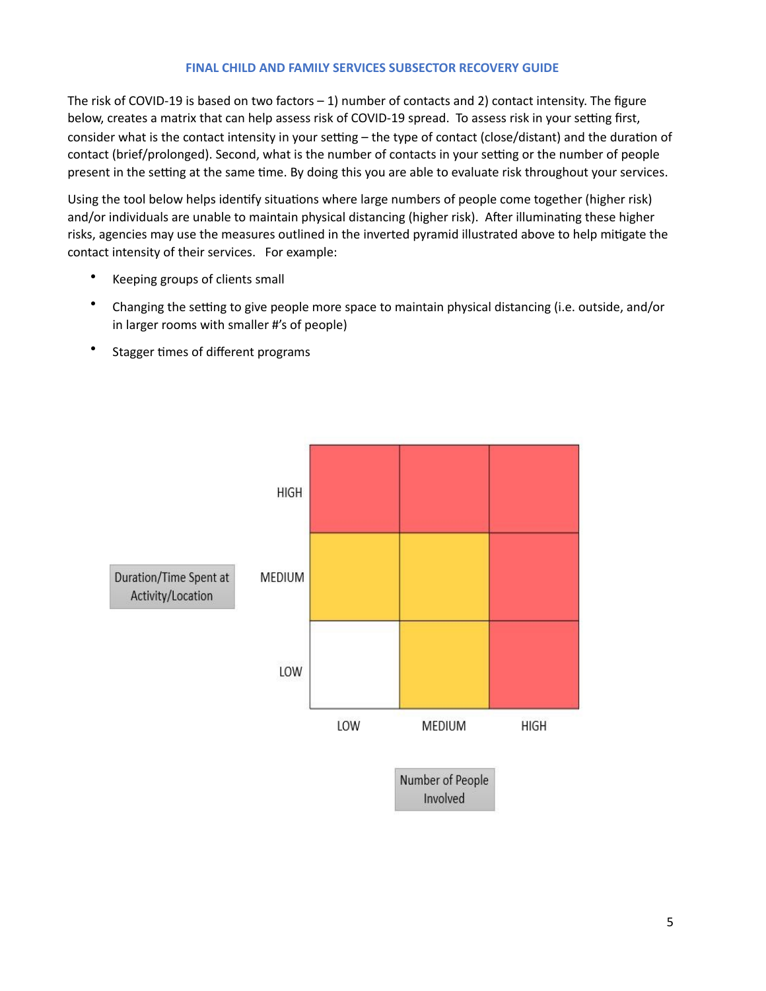The risk of COVID-19 is based on two factors  $-1$ ) number of contacts and 2) contact intensity. The figure below, creates a matrix that can help assess risk of COVID-19 spread. To assess risk in your setting first, consider what is the contact intensity in your setting – the type of contact (close/distant) and the duration of contact (brief/prolonged). Second, what is the number of contacts in your setting or the number of people present in the setting at the same time. By doing this you are able to evaluate risk throughout your services.

Using the tool below helps identify situations where large numbers of people come together (higher risk) and/or individuals are unable to maintain physical distancing (higher risk). After illuminating these higher risks, agencies may use the measures outlined in the inverted pyramid illustrated above to help mitigate the contact intensity of their services. For example:

- Keeping groups of clients small
- Changing the setting to give people more space to maintain physical distancing (i.e. outside, and/or in larger rooms with smaller #'s of people)
- Stagger times of different programs